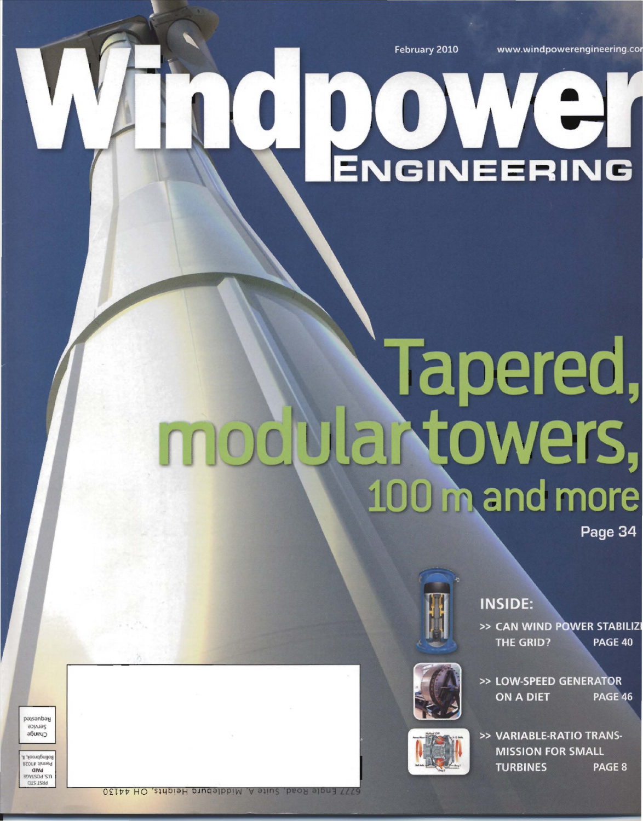February 2010

www.windpowerengineering.cor

# O DO VOI

## Tapered, 100 m and more

Page 34



**INSIDE:** 

>> CAN WIND POWER STABILIZ THE GRID? PAGE 40



>> LOW-SPEED GENERATOR **ON A DIET** PAGE 46

>> VARIABLE-RATIO TRANS-**MISSION FOR SMALL TURBINES** PAGE 8

Service сраиде omuðbugo

passanbay

 $2018$  JIULIA alwa **TOWES GT2 12H9** 

**S777 Engle Road, Suite A, Middleburg Heights, OH 44130**